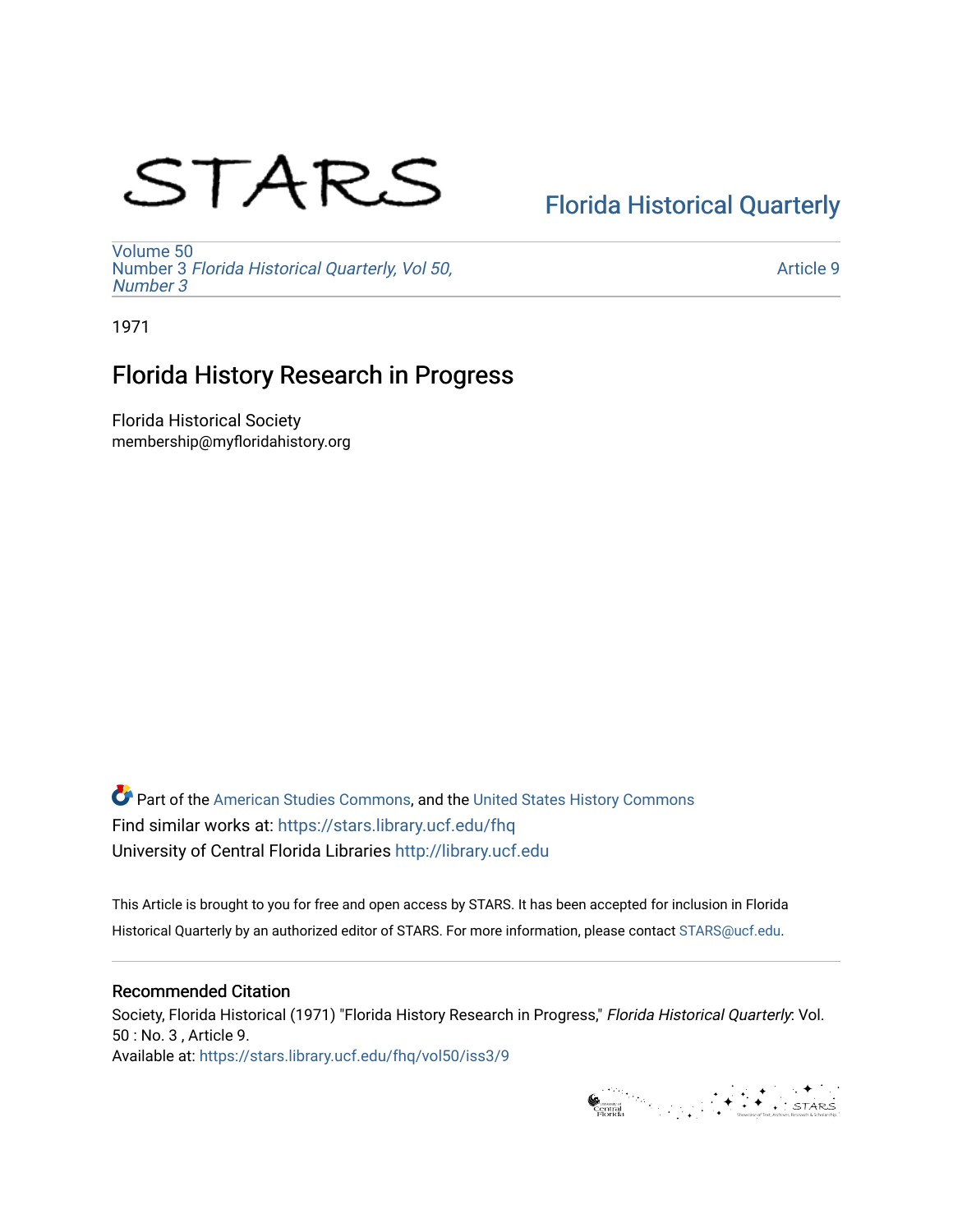# STARS

# [Florida Historical Quarterly](https://stars.library.ucf.edu/fhq)

[Volume 50](https://stars.library.ucf.edu/fhq/vol50) Number 3 [Florida Historical Quarterly, Vol 50,](https://stars.library.ucf.edu/fhq/vol50/iss3)  [Number 3](https://stars.library.ucf.edu/fhq/vol50/iss3)

[Article 9](https://stars.library.ucf.edu/fhq/vol50/iss3/9) 

1971

# Florida History Research in Progress

Florida Historical Society membership@myfloridahistory.org

**C** Part of the [American Studies Commons](http://network.bepress.com/hgg/discipline/439?utm_source=stars.library.ucf.edu%2Ffhq%2Fvol50%2Fiss3%2F9&utm_medium=PDF&utm_campaign=PDFCoverPages), and the United States History Commons Find similar works at: <https://stars.library.ucf.edu/fhq> University of Central Florida Libraries [http://library.ucf.edu](http://library.ucf.edu/) 

This Article is brought to you for free and open access by STARS. It has been accepted for inclusion in Florida Historical Quarterly by an authorized editor of STARS. For more information, please contact [STARS@ucf.edu.](mailto:STARS@ucf.edu)

## Recommended Citation

Society, Florida Historical (1971) "Florida History Research in Progress," Florida Historical Quarterly: Vol. 50 : No. 3 , Article 9. Available at: [https://stars.library.ucf.edu/fhq/vol50/iss3/9](https://stars.library.ucf.edu/fhq/vol50/iss3/9?utm_source=stars.library.ucf.edu%2Ffhq%2Fvol50%2Fiss3%2F9&utm_medium=PDF&utm_campaign=PDFCoverPages) 

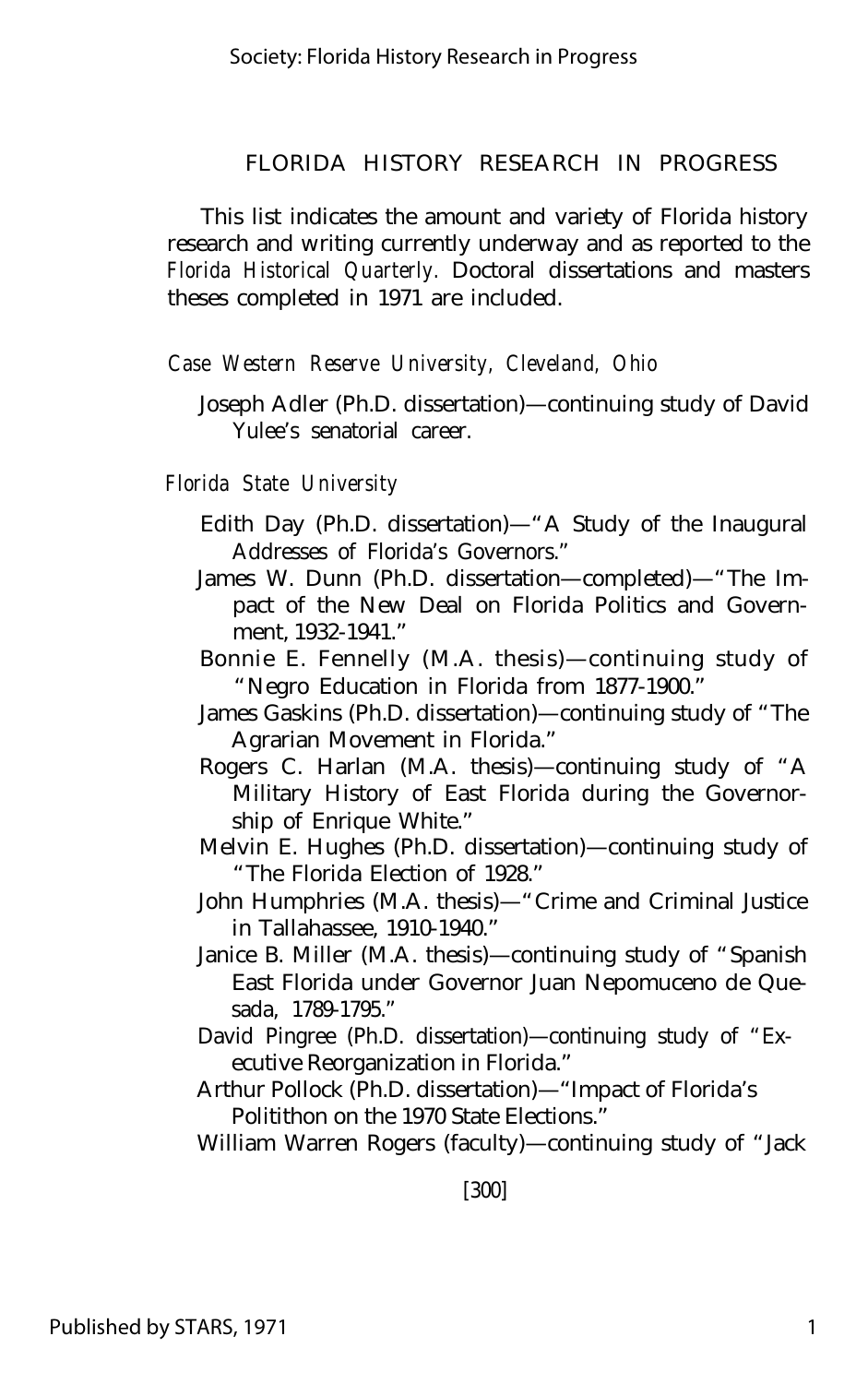This list indicates the amount and variety of Florida history research and writing currently underway and as reported to the *Florida Historical Quarterly.* Doctoral dissertations and masters theses completed in 1971 are included.

#### *Case Western Reserve University, Cleveland, Ohio*

Joseph Adler (Ph.D. dissertation)— continuing study of David Yulee's senatorial career.

## *Florida State University*

- Edith Day (Ph.D. dissertation)— "A Study of the Inaugural Addresses of Florida's Governors."
- James W. Dunn (Ph.D. dissertation— completed)— "The Impact of the New Deal on Florida Politics and Government, 1932-1941."
- Bonnie E. Fennelly (M.A. thesis)— continuing study of "Negro Education in Florida from 1877-1900."
- James Gaskins (Ph.D. dissertation)— continuing study of "The Agrarian Movement in Florida."
- Rogers C. Harlan (M.A. thesis)— continuing study of "A Military History of East Florida during the Governorship of Enrique White."
- Melvin E. Hughes (Ph.D. dissertation)— continuing study of "The Florida Election of 1928."
- John Humphries (M.A. thesis)— "Crime and Criminal Justice in Tallahassee, 1910-1940."
- Janice B. Miller (M.A. thesis)— continuing study of "Spanish East Florida under Governor Juan Nepomuceno de Quesada, 1789-1795."
- David Pingree (Ph.D. dissertation)— continuing study of "Executive Reorganization in Florida."
- Arthur Pollock (Ph.D. dissertation)— "Impact of Florida's Politithon on the 1970 State Elections."

William Warren Rogers (faculty)— continuing study of "Jack

[300]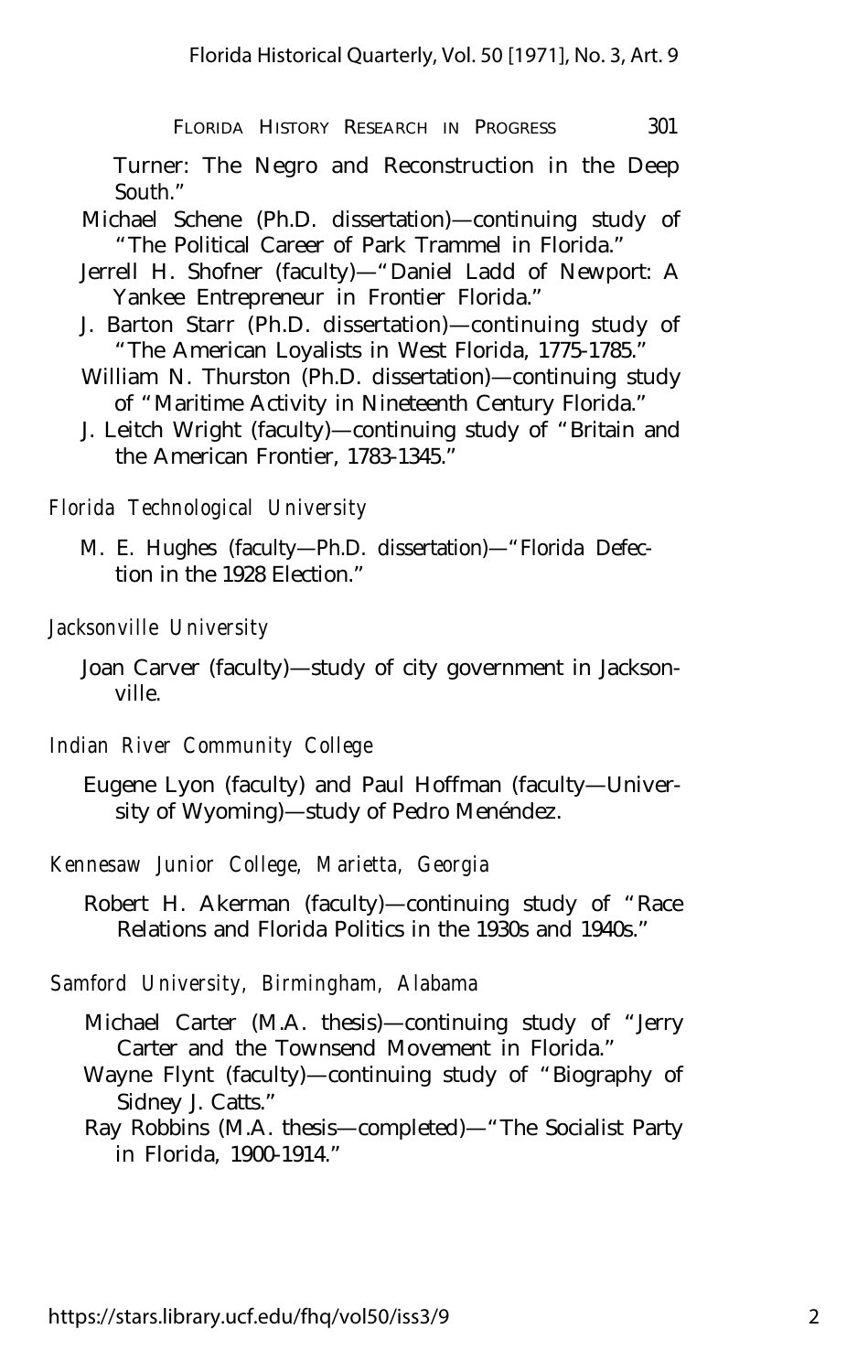Turner: The Negro and Reconstruction in the Deep South."

- Michael Schene (Ph.D. dissertation)— continuing study of "The Political Career of Park Trammel in Florida."
- Jerrell H. Shofner (faculty)— "Daniel Ladd of Newport: A Yankee Entrepreneur in Frontier Florida."
- J. Barton Starr (Ph.D. dissertation)— continuing study of "The American Loyalists in West Florida, 1775-1785."
- William N. Thurston (Ph.D. dissertation)— continuing study of "Maritime Activity in Nineteenth Century Florida."
- J. Leitch Wright (faculty)— continuing study of "Britain and the American Frontier, 1783-1345."

*Florida Technological University*

M. E. Hughes (faculty— Ph.D. dissertation)— "Florida Defection in the 1928 Election."

*Jacksonville University*

- Joan Carver (faculty)— study of city government in Jacksonville.
- *Indian River Community College*
	- Eugene Lyon (faculty) and Paul Hoffman (faculty— University of Wyoming)— study of Pedro Menéndez.

*Kennesaw Junior College, Marietta, Georgia*

*Samford University, Birmingham, Alabama*

- Michael Carter (M.A. thesis)— continuing study of "Jerry Carter and the Townsend Movement in Florida."
- Wayne Flynt (faculty)— continuing study of "Biography of Sidney J. Catts."

Ray Robbins (M.A. thesis— completed)— "The Socialist Party in Florida, 1900-1914."

Robert H. Akerman (faculty)— continuing study of "Race Relations and Florida Politics in the 1930s and 1940s."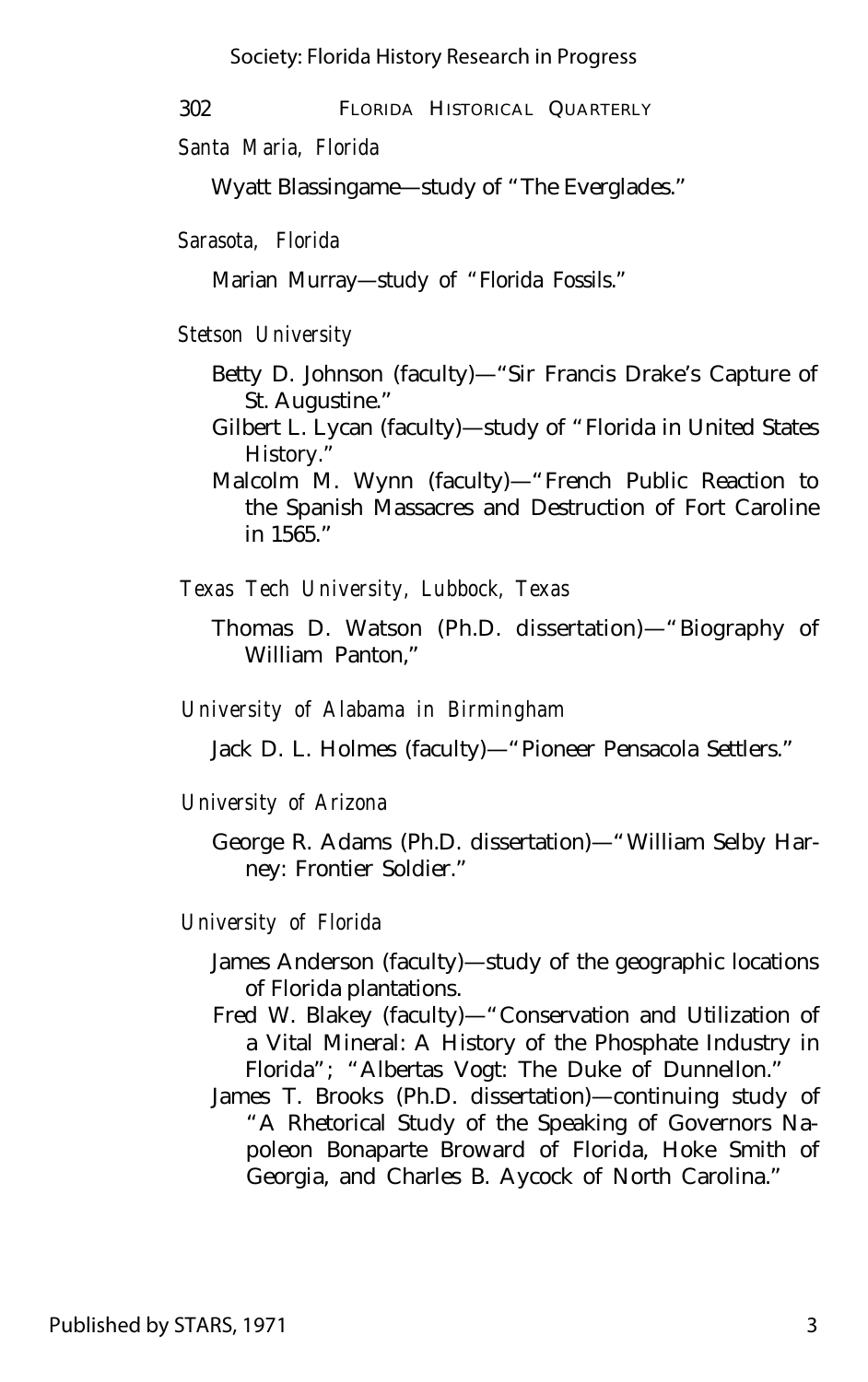302 FLORIDA HISTORICAL QUARTERLY

*Santa Maria, Florida*

Wyatt Blassingame— study of "The Everglades."

*Sarasota, Florida*

Marian Murray— study of "Florida Fossils."

*Stetson University*

- Betty D. Johnson (faculty)— "Sir Francis Drake's Capture of St. Augustine."
- Gilbert L. Lycan (faculty)— study of "Florida in United States History."
- Malcolm M. Wynn (faculty)— "French Public Reaction to the Spanish Massacres and Destruction of Fort Caroline in 1565."

*Texas Tech University, Lubbock, Texas*

Thomas D. Watson (Ph.D. dissertation)— "Biography of William Panton,"

*University of Alabama in Birmingham*

Jack D. L. Holmes (faculty)— "Pioneer Pensacola Settlers."

*University of Arizona*

George R. Adams (Ph.D. dissertation)— "William Selby Harney: Frontier Soldier."

*University of Florida*

- James Anderson (faculty)— study of the geographic locations of Florida plantations.
- Fred W. Blakey (faculty)— "Conservation and Utilization of a Vital Mineral: A History of the Phosphate Industry in Florida"; "Albertas Vogt: The Duke of Dunnellon."
- James T. Brooks (Ph.D. dissertation)— continuing study of "A Rhetorical Study of the Speaking of Governors Napoleon Bonaparte Broward of Florida, Hoke Smith of Georgia, and Charles B. Aycock of North Carolina."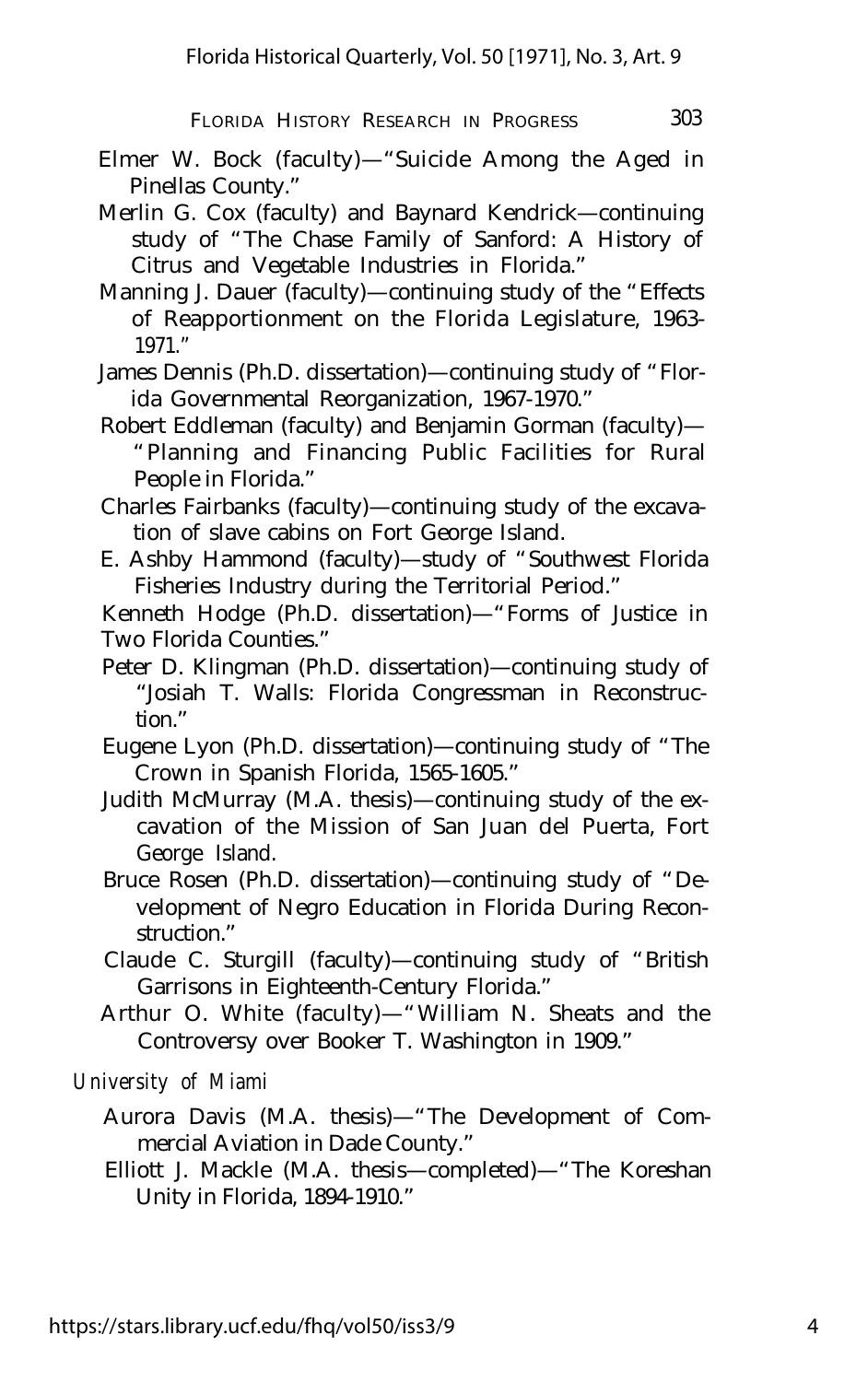- Elmer W. Bock (faculty)— "Suicide Among the Aged in Pinellas County."
- Merlin G. Cox (faculty) and Baynard Kendrick— continuing study of "The Chase Family of Sanford: A History of Citrus and Vegetable Industries in Florida."
- Manning J. Dauer (faculty)— continuing study of the "Effects of Reapportionment on the Florida Legislature, 1963- 1971."
- James Dennis (Ph.D. dissertation)— continuing study of "Florida Governmental Reorganization, 1967-1970."
- Robert Eddleman (faculty) and Benjamin Gorman (faculty)— "Planning and Financing Public Facilities for Rural People in Florida."
- Charles Fairbanks (faculty)— continuing study of the excavation of slave cabins on Fort George Island.
- E. Ashby Hammond (faculty)— study of "Southwest Florida Fisheries Industry during the Territorial Period."

Kenneth Hodge (Ph.D. dissertation)— "Forms of Justice in Two Florida Counties."

Peter D. Klingman (Ph.D. dissertation)— continuing study of "Josiah T. Walls: Florida Congressman in Reconstruction."

Eugene Lyon (Ph.D. dissertation)— continuing study of "The Crown in Spanish Florida, 1565-1605."

- Judith McMurray (M.A. thesis)— continuing study of the excavation of the Mission of San Juan del Puerta, Fort George Island.
- Bruce Rosen (Ph.D. dissertation)— continuing study of "Development of Negro Education in Florida During Reconstruction."
- Claude C. Sturgill (faculty)— continuing study of "British Garrisons in Eighteenth-Century Florida."
- Arthur O. White (faculty)— "William N. Sheats and the Controversy over Booker T. Washington in 1909."

*University of Miami*

- Aurora Davis (M.A. thesis)— "The Development of Commercial Aviation in Dade County."
- Elliott J. Mackle (M.A. thesis— completed)— "The Koreshan Unity in Florida, 1894-1910."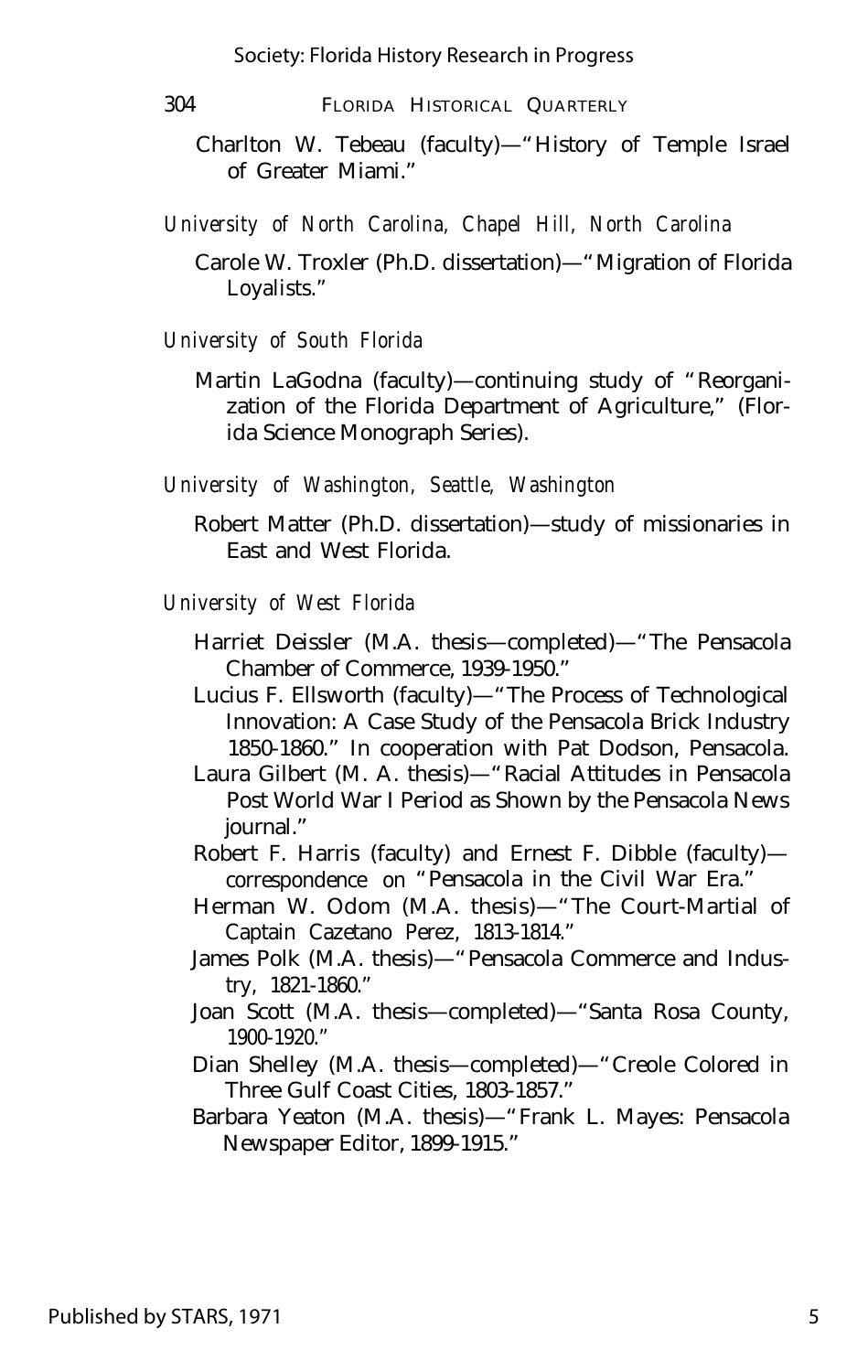- 304 FLORIDA HISTORICAL QUARTERLY
	- Charlton W. Tebeau (faculty)— "History of Temple Israel of Greater Miami."
- *University of North Carolina, Chapel Hill, North Carolina*
	- Carole W. Troxler (Ph.D. dissertation)— "Migration of Florida Loyalists."
- *University of South Florida*
	- Martin LaGodna (faculty)— continuing study of "Reorganization of the Florida Department of Agriculture," (Florida Science Monograph Series).
- *University of Washington, Seattle, Washington*
	- Robert Matter (Ph.D. dissertation)— study of missionaries in East and West Florida.
- *University of West Florida*
	- Harriet Deissler (M.A. thesis— completed)— "The Pensacola Chamber of Commerce, 1939-1950."
	- Lucius F. Ellsworth (faculty)— "The Process of Technological Innovation: A Case Study of the Pensacola Brick Industry 1850-1860." In cooperation with Pat Dodson, Pensacola.
	- Laura Gilbert (M. A. thesis)— "Racial Attitudes in Pensacola Post World War I Period as Shown by the Pensacola News journal."
	- Robert F. Harris (faculty) and Ernest F. Dibble (faculty) correspondence on "Pensacola in the Civil War Era."
	- Herman W. Odom (M.A. thesis)— "The Court-Martial of Captain Cazetano Perez, 1813-1814."
	- James Polk (M.A. thesis)— "Pensacola Commerce and Industry, 1821-1860."
	- Joan Scott (M.A. thesis— completed)— "Santa Rosa County, 1900-1920."
	- Dian Shelley (M.A. thesis— completed)— "Creole Colored in Three Gulf Coast Cities, 1803-1857."
	- Barbara Yeaton (M.A. thesis)— "Frank L. Mayes: Pensacola Newspaper Editor, 1899-1915."